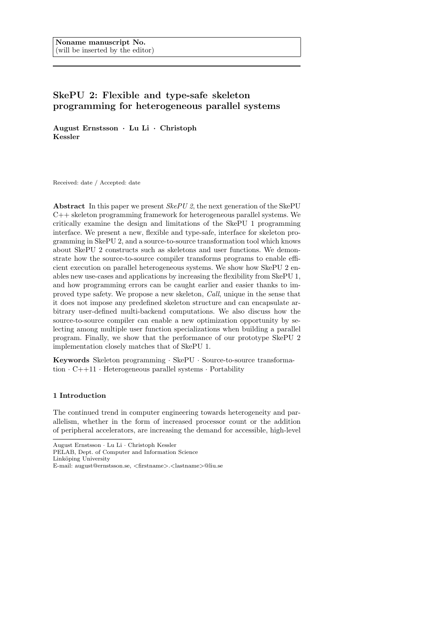# SkePU 2: Flexible and type-safe skeleton programming for heterogeneous parallel systems

August Ernstsson · Lu Li · Christoph Kessler

Received: date / Accepted: date

**Abstract** In this paper we present *SkePU 2*, the next generation of the SkePU C++ skeleton programming framework for heterogeneous parallel systems. We critically examine the design and limitations of the SkePU 1 programming interface. We present a new, flexible and type-safe, interface for skeleton programming in SkePU 2, and a source-to-source transformation tool which knows about SkePU 2 constructs such as skeletons and user functions. We demonstrate how the source-to-source compiler transforms programs to enable efficient execution on parallel heterogeneous systems. We show how SkePU 2 enables new use-cases and applications by increasing the flexibility from SkePU 1, and how programming errors can be caught earlier and easier thanks to improved type safety. We propose a new skeleton, Call, unique in the sense that it does not impose any predefined skeleton structure and can encapsulate arbitrary user-defined multi-backend computations. We also discuss how the source-to-source compiler can enable a new optimization opportunity by selecting among multiple user function specializations when building a parallel program. Finally, we show that the performance of our prototype SkePU 2 implementation closely matches that of SkePU 1.

Keywords Skeleton programming · SkePU · Source-to-source transformation  $\cdot$  C++11  $\cdot$  Heterogeneous parallel systems  $\cdot$  Portability

# 1 Introduction

The continued trend in computer engineering towards heterogeneity and parallelism, whether in the form of increased processor count or the addition of peripheral accelerators, are increasing the demand for accessible, high-level

PELAB, Dept. of Computer and Information Science

August Ernstsson · Lu Li · Christoph Kessler

Linköping University

E-mail: august@ernstsson.se, <firstname>.<lastname>@liu.se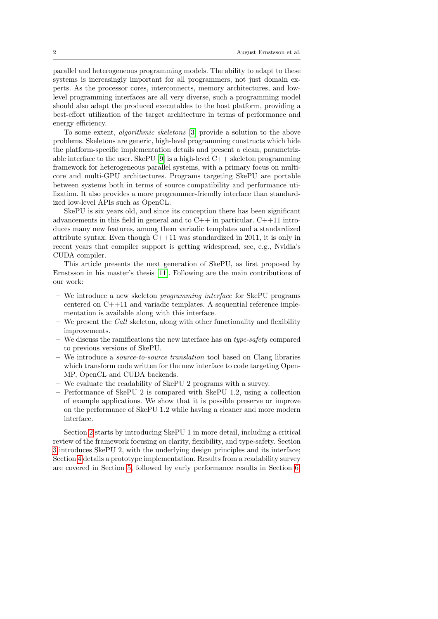parallel and heterogeneous programming models. The ability to adapt to these systems is increasingly important for all programmers, not just domain experts. As the processor cores, interconnects, memory architectures, and lowlevel programming interfaces are all very diverse, such a programming model should also adapt the produced executables to the host platform, providing a best-effort utilization of the target architecture in terms of performance and energy efficiency.

To some extent, algorithmic skeletons [\[3\]](#page-16-0) provide a solution to the above problems. Skeletons are generic, high-level programming constructs which hide the platform-specific implementation details and present a clean, parametriz-able interface to the user. SkePU [\[9\]](#page-17-0) is a high-level  $C++$  skeleton programming framework for heterogeneous parallel systems, with a primary focus on multicore and multi-GPU architectures. Programs targeting SkePU are portable between systems both in terms of source compatibility and performance utilization. It also provides a more programmer-friendly interface than standardized low-level APIs such as OpenCL.

SkePU is six years old, and since its conception there has been significant advancements in this field in general and to  $C++$  in particular.  $C++11$  introduces many new features, among them variadic templates and a standardized attribute syntax. Even though C++11 was standardized in 2011, it is only in recent years that compiler support is getting widespread, see, e.g., Nvidia's CUDA compiler.

This article presents the next generation of SkePU, as first proposed by Ernstsson in his master's thesis [\[11\]](#page-17-1). Following are the main contributions of our work:

- We introduce a new skeleton programming interface for SkePU programs centered on C++11 and variadic templates. A sequential reference implementation is available along with this interface.
- We present the Call skeleton, along with other functionality and flexibility improvements.
- We discuss the ramifications the new interface has on type-safety compared to previous versions of SkePU.
- We introduce a source-to-source translation tool based on Clang libraries which transform code written for the new interface to code targeting Open-MP, OpenCL and CUDA backends.
- We evaluate the readability of SkePU 2 programs with a survey.
- Performance of SkePU 2 is compared with SkePU 1.2, using a collection of example applications. We show that it is possible preserve or improve on the performance of SkePU 1.2 while having a cleaner and more modern interface.

Section [2](#page-2-0) starts by introducing SkePU 1 in more detail, including a critical review of the framework focusing on clarity, flexibility, and type-safety. Section [3](#page-4-0) introduces SkePU 2, with the underlying design principles and its interface; Section [4](#page-9-0) details a prototype implementation. Results from a readability survey are covered in Section [5,](#page-12-0) followed by early performance results in Section [6.](#page-13-0)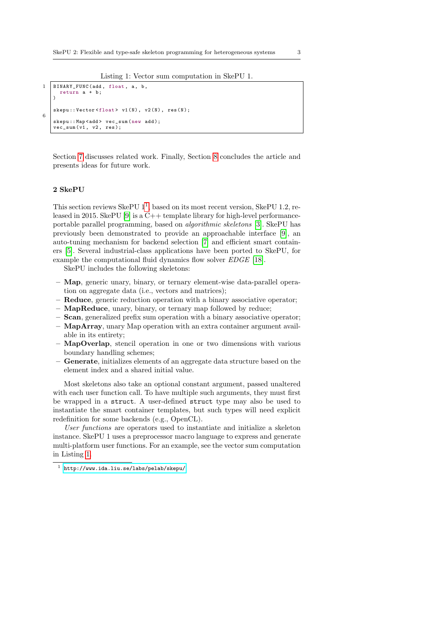Listing 1: Vector sum computation in SkePU 1.

```
1 | BINARY_FUNC(add, float, a, b,
     return a + b ;
   )
   skepu:: Vector <float> v1(N), v2(N), res(N);
6
   skepu :: Map < add > vec_sum ( new add );
   vec\_sum(v1, v2, res);
```
Section [7](#page-15-0) discusses related work. Finally, Section [8](#page-16-1) concludes the article and presents ideas for future work.

# <span id="page-2-0"></span>2 SkePU

This section reviews SkePU [1](#page-2-1)<sup>1</sup>, based on its most recent version, SkePU 1.2, released in 2015. SkePU [\[9\]](#page-17-0) is a C++ template library for high-level performanceportable parallel programming, based on algorithmic skeletons [\[3\]](#page-16-0). SkePU has previously been demonstrated to provide an approachable interface [\[9\]](#page-17-0), an auto-tuning mechanism for backend selection [\[7\]](#page-16-2) and efficient smart containers [\[5\]](#page-16-3). Several industrial-class applications have been ported to SkePU, for example the computational fluid dynamics flow solver *EDGE* [\[18\]](#page-17-2).

SkePU includes the following skeletons:

- Map, generic unary, binary, or ternary element-wise data-parallel operation on aggregate data (i.e., vectors and matrices);
- Reduce, generic reduction operation with a binary associative operator;
- MapReduce, unary, binary, or ternary map followed by reduce;
- Scan, generalized prefix sum operation with a binary associative operator;
- MapArray, unary Map operation with an extra container argument available in its entirety;
- MapOverlap, stencil operation in one or two dimensions with various boundary handling schemes;
- Generate, initializes elements of an aggregate data structure based on the element index and a shared initial value.

Most skeletons also take an optional constant argument, passed unaltered with each user function call. To have multiple such arguments, they must first be wrapped in a struct. A user-defined struct type may also be used to instantiate the smart container templates, but such types will need explicit redefinition for some backends (e.g., OpenCL).

User functions are operators used to instantiate and initialize a skeleton instance. SkePU 1 uses a preprocessor macro language to express and generate multi-platform user functions. For an example, see the vector sum computation in Listing [1.](#page-2-2)

<span id="page-2-1"></span><sup>1</sup> <http://www.ida.liu.se/labs/pelab/skepu/>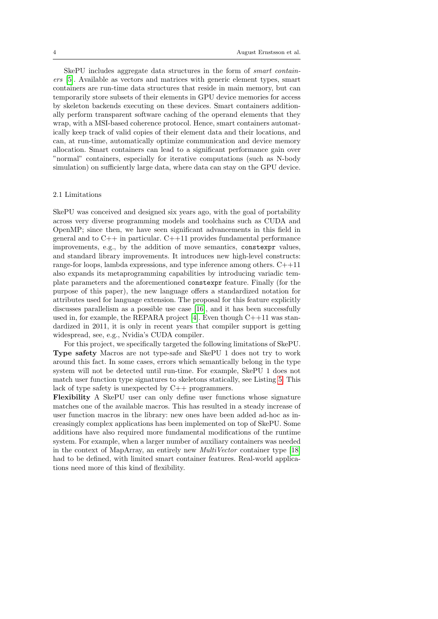SkePU includes aggregate data structures in the form of smart containers [\[5\]](#page-16-3). Available as vectors and matrices with generic element types, smart containers are run-time data structures that reside in main memory, but can temporarily store subsets of their elements in GPU device memories for access by skeleton backends executing on these devices. Smart containers additionally perform transparent software caching of the operand elements that they wrap, with a MSI-based coherence protocol. Hence, smart containers automatically keep track of valid copies of their element data and their locations, and can, at run-time, automatically optimize communication and device memory allocation. Smart containers can lead to a significant performance gain over "normal" containers, especially for iterative computations (such as N-body simulation) on sufficiently large data, where data can stay on the GPU device.

#### 2.1 Limitations

SkePU was conceived and designed six years ago, with the goal of portability across very diverse programming models and toolchains such as CUDA and OpenMP; since then, we have seen significant advancements in this field in general and to  $C_{++}$  in particular.  $C_{++}$ 11 provides fundamental performance improvements, e.g., by the addition of move semantics, constexpr values, and standard library improvements. It introduces new high-level constructs: range-for loops, lambda expressions, and type inference among others. C++11 also expands its metaprogramming capabilities by introducing variadic template parameters and the aforementioned constexpr feature. Finally (for the purpose of this paper), the new language offers a standardized notation for attributes used for language extension. The proposal for this feature explicitly discusses parallelism as a possible use case [\[16\]](#page-17-3), and it has been successfully used in, for example, the REPARA project [\[4\]](#page-16-4). Even though  $C++11$  was standardized in 2011, it is only in recent years that compiler support is getting widespread, see, e.g., Nvidia's CUDA compiler.

For this project, we specifically targeted the following limitations of SkePU. Type safety Macros are not type-safe and SkePU 1 does not try to work around this fact. In some cases, errors which semantically belong in the type system will not be detected until run-time. For example, SkePU 1 does not match user function type signatures to skeletons statically, see Listing [5.](#page-8-0) This lack of type safety is unexpected by C++ programmers.

Flexibility A SkePU user can only define user functions whose signature matches one of the available macros. This has resulted in a steady increase of user function macros in the library: new ones have been added ad-hoc as increasingly complex applications has been implemented on top of SkePU. Some additions have also required more fundamental modifications of the runtime system. For example, when a larger number of auxiliary containers was needed in the context of MapArray, an entirely new MultiVector container type [\[18\]](#page-17-2) had to be defined, with limited smart container features. Real-world applications need more of this kind of flexibility.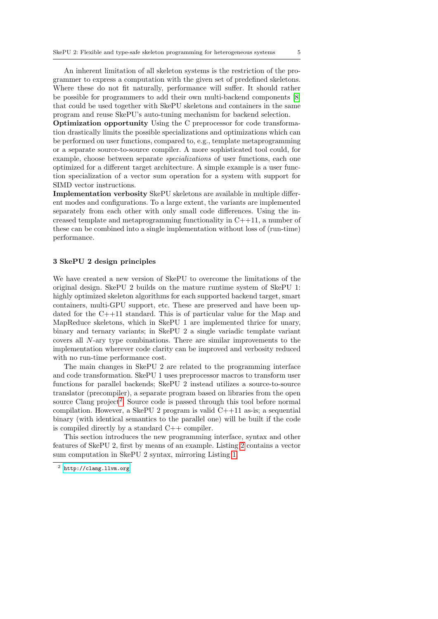An inherent limitation of all skeleton systems is the restriction of the programmer to express a computation with the given set of predefined skeletons. Where these do not fit naturally, performance will suffer. It should rather be possible for programmers to add their own multi-backend components [\[8\]](#page-16-5) that could be used together with SkePU skeletons and containers in the same program and reuse SkePU's auto-tuning mechanism for backend selection.

Optimization opportunity Using the C preprocessor for code transformation drastically limits the possible specializations and optimizations which can be performed on user functions, compared to, e.g., template metaprogramming or a separate source-to-source compiler. A more sophisticated tool could, for example, choose between separate specializations of user functions, each one optimized for a different target architecture. A simple example is a user function specialization of a vector sum operation for a system with support for SIMD vector instructions.

Implementation verbosity SkePU skeletons are available in multiple different modes and configurations. To a large extent, the variants are implemented separately from each other with only small code differences. Using the increased template and metaprogramming functionality in  $C++11$ , a number of these can be combined into a single implementation without loss of (run-time) performance.

# <span id="page-4-0"></span>3 SkePU 2 design principles

We have created a new version of SkePU to overcome the limitations of the original design. SkePU 2 builds on the mature runtime system of SkePU 1: highly optimized skeleton algorithms for each supported backend target, smart containers, multi-GPU support, etc. These are preserved and have been updated for the C++11 standard. This is of particular value for the Map and MapReduce skeletons, which in SkePU 1 are implemented thrice for unary, binary and ternary variants; in SkePU 2 a single variadic template variant covers all N-ary type combinations. There are similar improvements to the implementation wherever code clarity can be improved and verbosity reduced with no run-time performance cost.

The main changes in SkePU 2 are related to the programming interface and code transformation. SkePU 1 uses preprocessor macros to transform user functions for parallel backends; SkePU 2 instead utilizes a source-to-source translator (precompiler), a separate program based on libraries from the open source Clang project<sup>[2](#page-4-1)</sup>. Source code is passed through this tool before normal compilation. However, a SkePU 2 program is valid  $C++11$  as-is; a sequential binary (with identical semantics to the parallel one) will be built if the code is compiled directly by a standard  $C++$  compiler.

This section introduces the new programming interface, syntax and other features of SkePU 2, first by means of an example. Listing [2](#page-5-0) contains a vector sum computation in SkePU 2 syntax, mirroring Listing [1.](#page-2-2)

<span id="page-4-1"></span><sup>2</sup> <http://clang.llvm.org>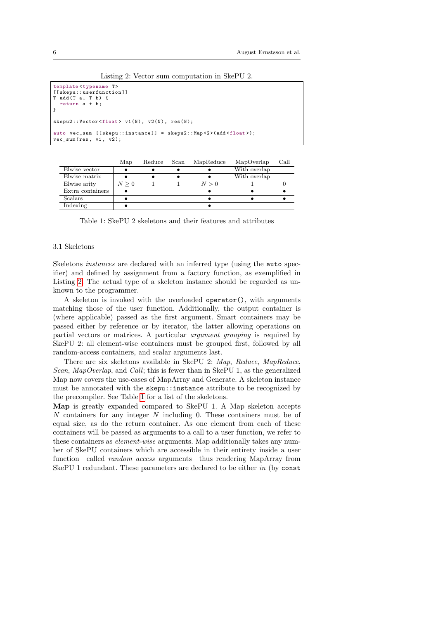Listing 2: Vector sum computation in SkePU 2.

```
template<typename T>
[[skepu::userfunction]]
T add (T a, T b) {
  return a + b ;
}
skepu2:: Vector <float> v1(N), v2(N), res(N);
auto vec_sum [[skepu::instance]] = skepu2::Map <2>(add <float>);
vec sum (res, v1, v2);
```
<span id="page-5-1"></span>

|                  | Map       | Reduce | Scan | MapReduce | MapOverlap   | Call |
|------------------|-----------|--------|------|-----------|--------------|------|
| Elwise vector    |           |        |      |           | With overlap |      |
| Elwise matrix    |           |        |      |           | With overlap |      |
| Elwise arity     | $N\geq 0$ |        |      | N>0       |              |      |
| Extra containers |           |        |      |           |              |      |
| Scalars          |           |        |      |           |              |      |
| Indexing         |           |        |      |           |              |      |

Table 1: SkePU 2 skeletons and their features and attributes

# 3.1 Skeletons

Skeletons instances are declared with an inferred type (using the auto specifier) and defined by assignment from a factory function, as exemplified in Listing [2.](#page-5-0) The actual type of a skeleton instance should be regarded as unknown to the programmer.

A skeleton is invoked with the overloaded operator(), with arguments matching those of the user function. Additionally, the output container is (where applicable) passed as the first argument. Smart containers may be passed either by reference or by iterator, the latter allowing operations on partial vectors or matrices. A particular argument grouping is required by SkePU 2: all element-wise containers must be grouped first, followed by all random-access containers, and scalar arguments last.

There are six skeletons available in SkePU 2: Map, Reduce, MapReduce, Scan, MapOverlap, and Call; this is fewer than in SkePU 1, as the generalized Map now covers the use-cases of MapArray and Generate. A skeleton instance must be annotated with the skepu::instance attribute to be recognized by the precompiler. See Table [1](#page-5-1) for a list of the skeletons.

Map is greatly expanded compared to SkePU 1. A Map skeleton accepts N containers for any integer N including 0. These containers must be of equal size, as do the return container. As one element from each of these containers will be passed as arguments to a call to a user function, we refer to these containers as element-wise arguments. Map additionally takes any number of SkePU containers which are accessible in their entirety inside a user function—called random access arguments—thus rendering MapArray from SkePU 1 redundant. These parameters are declared to be either in (by const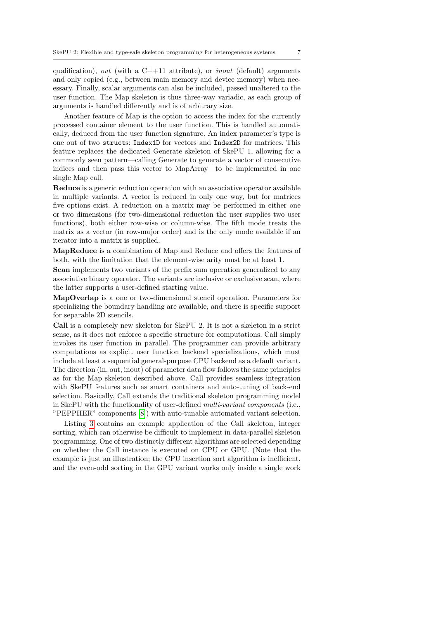qualification), out (with a  $C++11$  attribute), or *inout* (default) arguments and only copied (e.g., between main memory and device memory) when necessary. Finally, scalar arguments can also be included, passed unaltered to the user function. The Map skeleton is thus three-way variadic, as each group of arguments is handled differently and is of arbitrary size.

Another feature of Map is the option to access the index for the currently processed container element to the user function. This is handled automatically, deduced from the user function signature. An index parameter's type is one out of two structs: Index1D for vectors and Index2D for matrices. This feature replaces the dedicated Generate skeleton of SkePU 1, allowing for a commonly seen pattern—calling Generate to generate a vector of consecutive indices and then pass this vector to MapArray—to be implemented in one single Map call.

Reduce is a generic reduction operation with an associative operator available in multiple variants. A vector is reduced in only one way, but for matrices five options exist. A reduction on a matrix may be performed in either one or two dimensions (for two-dimensional reduction the user supplies two user functions), both either row-wise or column-wise. The fifth mode treats the matrix as a vector (in row-major order) and is the only mode available if an iterator into a matrix is supplied.

MapReduce is a combination of Map and Reduce and offers the features of both, with the limitation that the element-wise arity must be at least 1.

Scan implements two variants of the prefix sum operation generalized to any associative binary operator. The variants are inclusive or exclusive scan, where the latter supports a user-defined starting value.

MapOverlap is a one or two-dimensional stencil operation. Parameters for specializing the boundary handling are available, and there is specific support for separable 2D stencils.

Call is a completely new skeleton for SkePU 2. It is not a skeleton in a strict sense, as it does not enforce a specific structure for computations. Call simply invokes its user function in parallel. The programmer can provide arbitrary computations as explicit user function backend specializations, which must include at least a sequential general-purpose CPU backend as a default variant. The direction (in, out, inout) of parameter data flow follows the same principles as for the Map skeleton described above. Call provides seamless integration with SkePU features such as smart containers and auto-tuning of back-end selection. Basically, Call extends the traditional skeleton programming model in SkePU with the functionality of user-defined multi-variant components (i.e., "PEPPHER" components [\[8\]](#page-16-5)) with auto-tunable automated variant selection.

Listing [3](#page-7-0) contains an example application of the Call skeleton, integer sorting, which can otherwise be difficult to implement in data-parallel skeleton programming. One of two distinctly different algorithms are selected depending on whether the Call instance is executed on CPU or GPU. (Note that the example is just an illustration; the CPU insertion sort algorithm is inefficient, and the even-odd sorting in the GPU variant works only inside a single work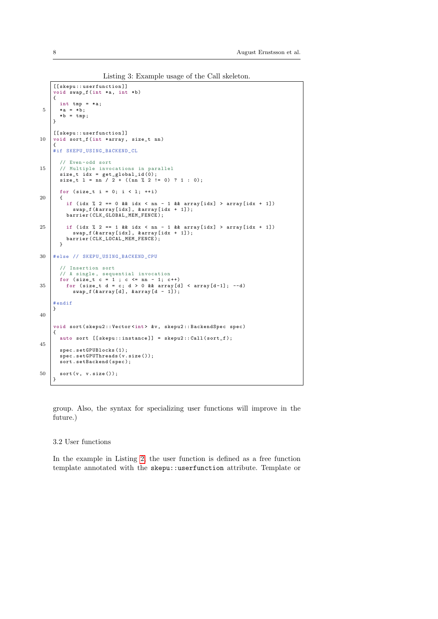Listing 3: Example usage of the Call skeleton.

```
[[ skepu :: userfunction ]]
     void swap_f (int *a, int *b)
     {
 int tmp = * a;
5 *a = *b;
        *b = \text{tmp};}
     [[ skepu :: userfunction ]]
10 void sort_f (int *array, size_t nn)
     {
     #if SKEPU_USING_BACKEND_CL
        // Even - odd sort
15 // Multiple invocations in parallel
size_t idx = get_global_id (0);
size_t l = nn / 2 + (( nn % 2 != 0) ? 1 : 0);
        for (size_t i = 0; i < 1; ++i)20 {
          if (idx \% 2 == 0 && idx < nn - 1 && array [idx] > array [idx + 1])
           swap_f (& array [ idx ], & array [ idx + 1]);
barrier ( CLK_GLOBAL_MEM_FENCE );
25 if (idx % 2 == 1 && idx < nn - 1 && array [idx] > array [idx + 1])
           swap_f (& array [ idx ], & array [ idx + 1]);
barrier ( CLK_LOCAL_MEM_FENCE );
        \lambda30 # else // SKEPU_USING_BACKEND_CPU
        // Insertion sort
        // A single , sequential invocation
for (size_t c = 1 ; c <= nn - 1; c ++)<br>
for (size_t d = c; d > 0 && array[d] < array[d-1]; --d)<br>
swap_f(&array[d], &array[d - 1]);
     # endif
     }
40
      void sort ( skepu2 :: Vector <int > &v , skepu2 :: BackendSpec spec )
{
        auto sort [[skepu::instance]] = skepu2:: Call (sort_f);
45
        spec . setGPUBlocks (1);
         spec . setGPUThreads (v. size ());
sort . setBackend ( spec );
50 sort (v, v. size ());
      }
```
group. Also, the syntax for specializing user functions will improve in the future.)

# 3.2 User functions

In the example in Listing [2,](#page-5-0) the user function is defined as a free function template annotated with the skepu::userfunction attribute. Template or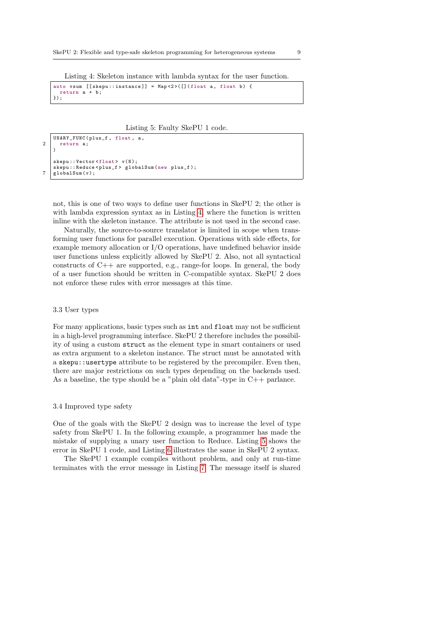<span id="page-8-1"></span>Listing 4: Skeleton instance with lambda syntax for the user function.

auto vsum [[skepu::instance]] = Map<2>([](float a, float b) { return a + b ; });

Listing 5: Faulty SkePU 1 code.

```
UNARY_FUNC ( plus_f , float , a ,
2 return a;
   \lambdaskepu:: Vector <float> v(N):
   skepu :: Reduce < plus_f > globalSum (new plus_f );
7 \midglobalSum(v):
```
not, this is one of two ways to define user functions in SkePU 2; the other is with lambda expression syntax as in Listing [4,](#page-8-1) where the function is written inline with the skeleton instance. The attribute is not used in the second case.

Naturally, the source-to-source translator is limited in scope when transforming user functions for parallel execution. Operations with side effects, for example memory allocation or I/O operations, have undefined behavior inside user functions unless explicitly allowed by SkePU 2. Also, not all syntactical constructs of C++ are supported, e.g., range-for loops. In general, the body of a user function should be written in C-compatible syntax. SkePU 2 does not enforce these rules with error messages at this time.

# 3.3 User types

For many applications, basic types such as int and float may not be sufficient in a high-level programming interface. SkePU 2 therefore includes the possibility of using a custom struct as the element type in smart containers or used as extra argument to a skeleton instance. The struct must be annotated with a skepu::usertype attribute to be registered by the precompiler. Even then, there are major restrictions on such types depending on the backends used. As a baseline, the type should be a "plain old data"-type in C++ parlance.

# 3.4 Improved type safety

One of the goals with the SkePU 2 design was to increase the level of type safety from SkePU 1. In the following example, a programmer has made the mistake of supplying a unary user function to Reduce. Listing [5](#page-8-0) shows the error in SkePU 1 code, and Listing [6](#page-9-1) illustrates the same in SkePU 2 syntax.

The SkePU 1 example compiles without problem, and only at run-time terminates with the error message in Listing [7.](#page-9-2) The message itself is shared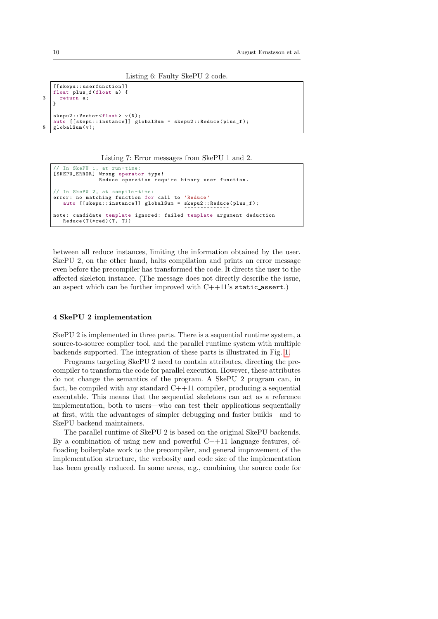```
Listing 6: Faulty SkePU 2 code.
```

```
[[ skepu :: userfunction ]]
   float plus_f(float a)
3 return a;
   }
   skepu2 :: Vector <float> v(N);
   auto [[skepu::instance]] globalSum = skepu2::Reduce(plus_f);
8 \midglobalSum(v);
```
Listing 7: Error messages from SkePU 1 and 2.

```
// In SkePU 1, at run-time<br>[SKEPU_ERROR] Wrong operate
[SKEPU_ERROR] Wrong operator type!<br>Reduce operation require binary user function.
 / In SkePU 2, at compile-time:
error: no matching function for call to 'Reduce'
    auto [[skepu::instance]] globalSum = skepu2::Reduce(plus_f);
مصحححة مصححة معددة محمدة معددة معددة معددة المستخدمة معددة المعددة .<br>note: candidate template ignored: failed template argument deduction
    Reduce(T(*red)(T, T))
```
between all reduce instances, limiting the information obtained by the user. SkePU 2, on the other hand, halts compilation and prints an error message even before the precompiler has transformed the code. It directs the user to the affected skeleton instance. (The message does not directly describe the issue, an aspect which can be further improved with  $C+11$ 's static assert.)

# <span id="page-9-0"></span>4 SkePU 2 implementation

SkePU 2 is implemented in three parts. There is a sequential runtime system, a source-to-source compiler tool, and the parallel runtime system with multiple backends supported. The integration of these parts is illustrated in Fig. [1.](#page-10-0)

Programs targeting SkePU 2 need to contain attributes, directing the precompiler to transform the code for parallel execution. However, these attributes do not change the semantics of the program. A SkePU 2 program can, in fact, be compiled with any standard  $C+11$  compiler, producing a sequential executable. This means that the sequential skeletons can act as a reference implementation, both to users—who can test their applications sequentially at first, with the advantages of simpler debugging and faster builds—and to SkePU backend maintainers.

The parallel runtime of SkePU 2 is based on the original SkePU backends. By a combination of using new and powerful  $C+11$  language features, offloading boilerplate work to the precompiler, and general improvement of the implementation structure, the verbosity and code size of the implementation has been greatly reduced. In some areas, e.g., combining the source code for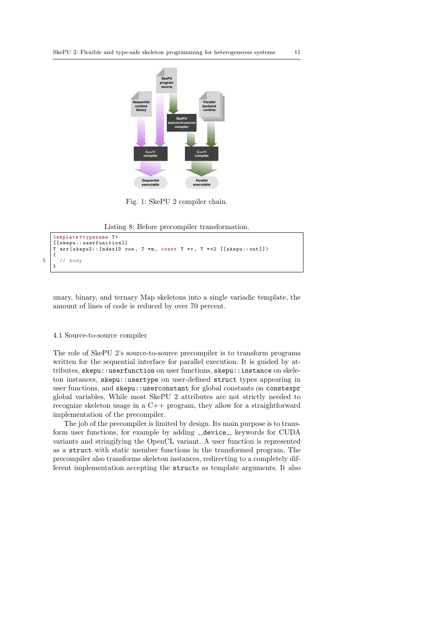<span id="page-10-0"></span>

Fig. 1: SkePU 2 compiler chain.

Listing 8: Before precompiler transformation.

```
template < typename T>
   [[ skepu : : userfunction]]
   T arr ( skepu2 :: Index1D row , T *m , const T *v , T * v2 [[ skepu :: out ]])
   {
5 // body
   }
```
unary, binary, and ternary Map skeletons into a single variadic template, the amount of lines of code is reduced by over 70 percent.

#### 4.1 Source-to-source compiler

The role of SkePU 2's source-to-source precompiler is to transform programs written for the sequential interface for parallel execution. It is guided by attributes, skepu::userfunction on user functions, skepu::instance on skeleton instances, skepu::usertype on user-defined struct types appearing in user functions, and skepu::userconstant for global constants on constexpr global variables. While most SkePU 2 attributes are not strictly needed to recognize skeleton usage in a C++ program, they allow for a straightforward implementation of the precompiler.

The job of the precompiler is limited by design. Its main purpose is to transform user functions, for example by adding \_\_device\_\_ keywords for CUDA variants and stringifying the OpenCL variant. A user function is represented as a struct with static member functions in the transformed program. The precompiler also transforms skeleton instances, redirecting to a completely different implementation accepting the structs as template arguments. It also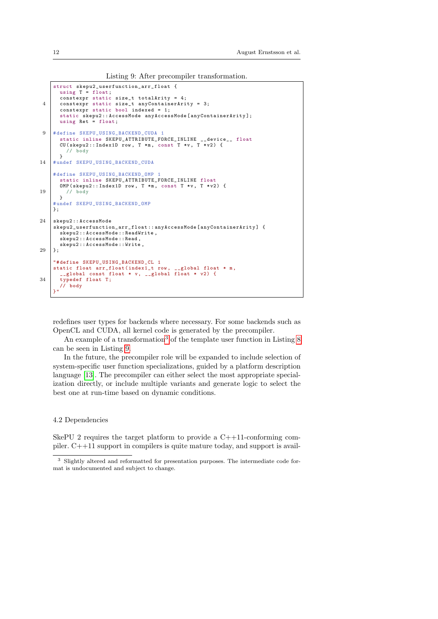Listing 9: After precompiler transformation.

```
struct skepu2_userfunction_arr_float {
      using T = float;
      constexpr static size_t totalArity = 4;
 4 constexpr static size_t anyContainerArity = 3;
constexpr static bool indexed = 1;
      static skepu2 :: AccessMode anyAccessMode [ anyContainerArity ];
      using Ret = float;
 9 # define SKEPU USING BACKEND CUDA 1
      static inline SKEPU_ATTRIBUTE_FORCE_INLINE __device__ float
      CU (skepu2:: Index1D row, T *m, const T *v, T *v2) {
        // body
      }
14 # undef SKEPU_USING_BACKEND_CUDA
    # define SKEPU_USING_BACKEND_OMP 1
      static inline SKEPU_ATTRIBUTE_FORCE_INLINE float
      OMP (skepu2:: Index1D row, T *m, const T *v, T *v2) {
19 // body
      }
    # undef SKEPU_USING_BACKEND_OMP
    };
24 skepu2 :: AccessMode
    skepu2_userfunction_arr_float :: anyAccessMode [anyContainerArity] {
      skepu2 :: AccessMode :: ReadWrite ,
      skepu2 :: AccessMode :: Read ,
      skepu2 :: AccessMode :: Write ,
29 \mid \cdot \cdot"# define SKEPU_USING_BACKEND_CL 1
    static float arr_float (index1_t row, __global float * m,
      __global const float * v, __global float * v2) {
34 typedef float T;<br>
\frac{7}{1000}// body
    }"
```
redefines user types for backends where necessary. For some backends such as OpenCL and CUDA, all kernel code is generated by the precompiler.

An example of a transformation<sup>[3](#page-11-0)</sup> of the template user function in Listing  $8$ can be seen in Listing [9.](#page-11-1)

In the future, the precompiler role will be expanded to include selection of system-specific user function specializations, guided by a platform description language [\[13\]](#page-17-4). The precompiler can either select the most appropriate specialization directly, or include multiple variants and generate logic to select the best one at run-time based on dynamic conditions.

#### 4.2 Dependencies

SkePU 2 requires the target platform to provide a  $C++11$ -conforming compiler. C++11 support in compilers is quite mature today, and support is avail-

<span id="page-11-0"></span><sup>3</sup> Slightly altered and reformatted for presentation purposes. The intermediate code format is undocumented and subject to change.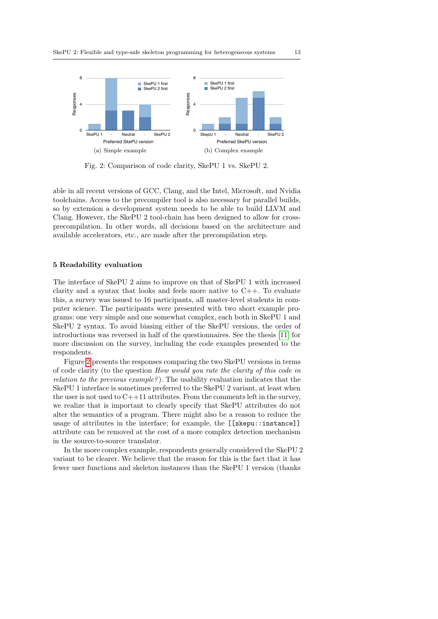<span id="page-12-1"></span>

Fig. 2: Comparison of code clarity, SkePU 1 vs. SkePU 2.

able in all recent versions of GCC, Clang, and the Intel, Microsoft, and Nvidia toolchains. Access to the precompiler tool is also necessary for parallel builds, so by extension a development system needs to be able to build LLVM and Clang. However, the SkePU 2 tool-chain has been designed to allow for crossprecompilation. In other words, all decisions based on the architecture and available accelerators, etc., are made after the precompilation step.

# <span id="page-12-0"></span>5 Readability evaluation

The interface of SkePU 2 aims to improve on that of SkePU 1 with increased clarity and a syntax that looks and feels more native to  $C++$ . To evaluate this, a survey was issued to 16 participants, all master-level students in computer science. The participants were presented with two short example programs: one very simple and one somewhat complex, each both in SkePU 1 and SkePU 2 syntax. To avoid biasing either of the SkePU versions, the order of introductions was reversed in half of the questionnaires. See the thesis [\[11\]](#page-17-1) for more discussion on the survey, including the code examples presented to the respondents.

Figure [2](#page-12-1) presents the responses comparing the two SkePU versions in terms of code clarity (to the question How would you rate the clarity of this code in relation to the previous example?). The usability evaluation indicates that the SkePU 1 interface is sometimes preferred to the SkePU 2 variant, at least when the user is not used to C++11 attributes. From the comments left in the survey, we realize that is important to clearly specify that SkePU attributes do not alter the semantics of a program. There might also be a reason to reduce the usage of attributes in the interface; for example, the [[skepu::instance]] attribute can be removed at the cost of a more complex detection mechanism in the source-to-source translator.

In the more complex example, respondents generally considered the SkePU 2 variant to be clearer. We believe that the reason for this is the fact that it has fewer user functions and skeleton instances than the SkePU 1 version (thanks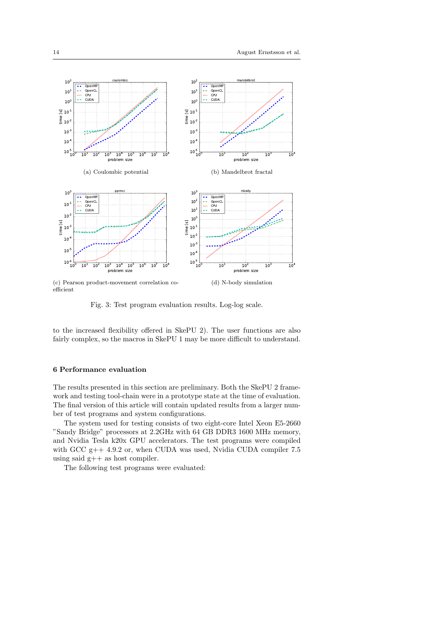

efficient

Fig. 3: Test program evaluation results. Log-log scale.

to the increased flexibility offered in SkePU 2). The user functions are also fairly complex, so the macros in SkePU 1 may be more difficult to understand.

# <span id="page-13-0"></span>6 Performance evaluation

The results presented in this section are preliminary. Both the SkePU 2 framework and testing tool-chain were in a prototype state at the time of evaluation. The final version of this article will contain updated results from a larger number of test programs and system configurations.

The system used for testing consists of two eight-core Intel Xeon E5-2660 "Sandy Bridge" processors at 2.2GHz with 64 GB DDR3 1600 MHz memory, and Nvidia Tesla k20x GPU accelerators. The test programs were compiled with GCC  $g++ 4.9.2$  or, when CUDA was used, Nvidia CUDA compiler 7.5 using said g++ as host compiler.

The following test programs were evaluated: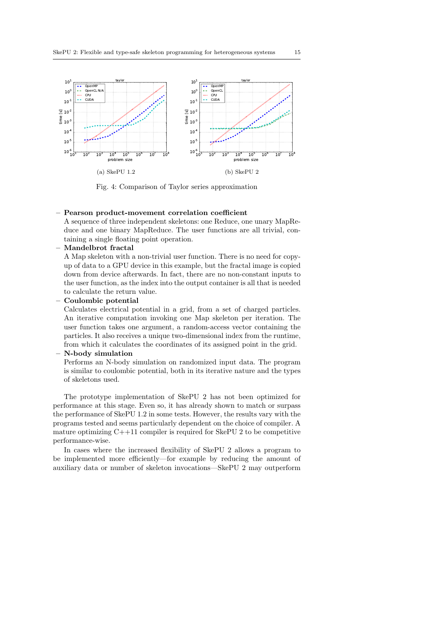<span id="page-14-0"></span>

Fig. 4: Comparison of Taylor series approximation

# – Pearson product-movement correlation coefficient

A sequence of three independent skeletons: one Reduce, one unary MapReduce and one binary MapReduce. The user functions are all trivial, containing a single floating point operation.

– Mandelbrot fractal

A Map skeleton with a non-trivial user function. There is no need for copyup of data to a GPU device in this example, but the fractal image is copied down from device afterwards. In fact, there are no non-constant inputs to the user function, as the index into the output container is all that is needed to calculate the return value.

– Coulombic potential

Calculates electrical potential in a grid, from a set of charged particles. An iterative computation invoking one Map skeleton per iteration. The user function takes one argument, a random-access vector containing the particles. It also receives a unique two-dimensional index from the runtime, from which it calculates the coordinates of its assigned point in the grid.

# – N-body simulation

Performs an N-body simulation on randomized input data. The program is similar to coulombic potential, both in its iterative nature and the types of skeletons used.

The prototype implementation of SkePU 2 has not been optimized for performance at this stage. Even so, it has already shown to match or surpass the performance of SkePU 1.2 in some tests. However, the results vary with the programs tested and seems particularly dependent on the choice of compiler. A mature optimizing  $C++11$  compiler is required for SkePU 2 to be competitive performance-wise.

In cases where the increased flexibility of SkePU 2 allows a program to be implemented more efficiently—for example by reducing the amount of auxiliary data or number of skeleton invocations—SkePU 2 may outperform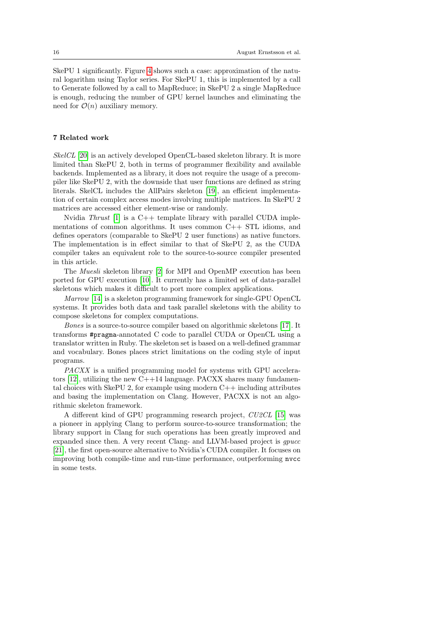SkePU 1 significantly. Figure [4](#page-14-0) shows such a case: approximation of the natural logarithm using Taylor series. For SkePU 1, this is implemented by a call to Generate followed by a call to MapReduce; in SkePU 2 a single MapReduce is enough, reducing the number of GPU kernel launches and eliminating the need for  $\mathcal{O}(n)$  auxiliary memory.

## <span id="page-15-0"></span>7 Related work

SkelCL [\[20\]](#page-17-5) is an actively developed OpenCL-based skeleton library. It is more limited than SkePU 2, both in terms of programmer flexibility and available backends. Implemented as a library, it does not require the usage of a precompiler like SkePU 2, with the downside that user functions are defined as string literals. SkelCL includes the AllPairs skeleton [\[19\]](#page-17-6), an efficient implementation of certain complex access modes involving multiple matrices. In SkePU 2 matrices are accessed either element-wise or randomly.

Nvidia Thrust  $[1]$  is a C++ template library with parallel CUDA implementations of common algorithms. It uses common C++ STL idioms, and defines operators (comparable to SkePU 2 user functions) as native functors. The implementation is in effect similar to that of SkePU 2, as the CUDA compiler takes an equivalent role to the source-to-source compiler presented in this article.

The Muesli skeleton library [\[2\]](#page-16-7) for MPI and OpenMP execution has been ported for GPU execution [\[10\]](#page-17-7). It currently has a limited set of data-parallel skeletons which makes it difficult to port more complex applications.

Marrow [\[14\]](#page-17-8) is a skeleton programming framework for single-GPU OpenCL systems. It provides both data and task parallel skeletons with the ability to compose skeletons for complex computations.

Bones is a source-to-source compiler based on algorithmic skeletons [\[17\]](#page-17-9). It transforms #pragma-annotated C code to parallel CUDA or OpenCL using a translator written in Ruby. The skeleton set is based on a well-defined grammar and vocabulary. Bones places strict limitations on the coding style of input programs.

PACXX is a unified programming model for systems with GPU accelerators  $[12]$ , utilizing the new C++14 language. PACXX shares many fundamental choices with SkePU 2, for example using modern  $C++$  including attributes and basing the implementation on Clang. However, PACXX is not an algorithmic skeleton framework.

A different kind of GPU programming research project, CU2CL [\[15\]](#page-17-11) was a pioneer in applying Clang to perform source-to-source transformation; the library support in Clang for such operations has been greatly improved and expanded since then. A very recent Clang- and LLVM-based project is *qpucc* [\[21\]](#page-17-12), the first open-source alternative to Nvidia's CUDA compiler. It focuses on improving both compile-time and run-time performance, outperforming nvcc in some tests.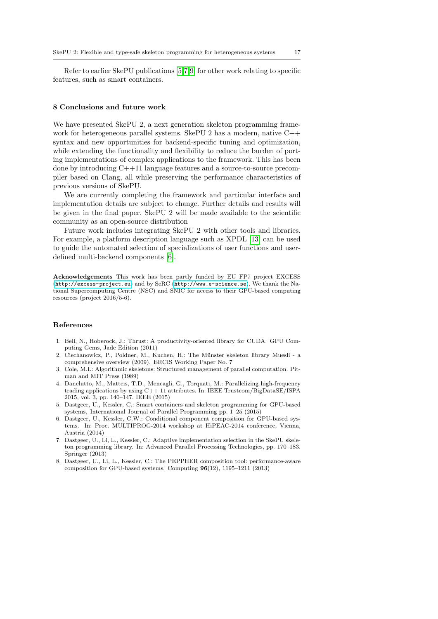Refer to earlier SkePU publications [\[5,](#page-16-3)[7,](#page-16-2)[9\]](#page-17-0) for other work relating to specific features, such as smart containers.

# <span id="page-16-1"></span>8 Conclusions and future work

We have presented SkePU 2, a next generation skeleton programming framework for heterogeneous parallel systems. SkePU 2 has a modern, native  $C_{++}$ syntax and new opportunities for backend-specific tuning and optimization, while extending the functionality and flexibility to reduce the burden of porting implementations of complex applications to the framework. This has been done by introducing C++11 language features and a source-to-source precompiler based on Clang, all while preserving the performance characteristics of previous versions of SkePU.

We are currently completing the framework and particular interface and implementation details are subject to change. Further details and results will be given in the final paper. SkePU 2 will be made available to the scientific community as an open-source distribution

Future work includes integrating SkePU 2 with other tools and libraries. For example, a platform description language such as XPDL [\[13\]](#page-17-4) can be used to guide the automated selection of specializations of user functions and userdefined multi-backend components [\[6\]](#page-16-8).

Acknowledgements This work has been partly funded by EU FP7 project EXCESS (<http://excess-project.eu>) and by SeRC (<http://www.e-science.se>). We thank the National Supercomputing Centre (NSC) and SNIC for access to their GPU-based computing resources (project 2016/5-6).

# References

- <span id="page-16-6"></span>1. Bell, N., Hoberock, J.: Thrust: A productivity-oriented library for CUDA. GPU Computing Gems, Jade Edition (2011)
- <span id="page-16-7"></span>2. Ciechanowicz, P., Poldner, M., Kuchen, H.: The Münster skeleton library Muesli - a comprehensive overview (2009). ERCIS Working Paper No. 7
- <span id="page-16-0"></span>3. Cole, M.I.: Algorithmic skeletons: Structured management of parallel computation. Pitman and MIT Press (1989)
- <span id="page-16-4"></span>4. Danelutto, M., Matteis, T.D., Mencagli, G., Torquati, M.: Parallelizing high-frequency trading applications by using C++ 11 attributes. In: IEEE Trustcom/BigDataSE/ISPA 2015, vol. 3, pp. 140–147. IEEE (2015)
- <span id="page-16-3"></span>5. Dastgeer, U., Kessler, C.: Smart containers and skeleton programming for GPU-based systems. International Journal of Parallel Programming pp. 1–25 (2015)
- <span id="page-16-8"></span>6. Dastgeer, U., Kessler, C.W.: Conditional component composition for GPU-based systems. In: Proc. MULTIPROG-2014 workshop at HiPEAC-2014 conference, Vienna, Austria (2014)
- <span id="page-16-2"></span>7. Dastgeer, U., Li, L., Kessler, C.: Adaptive implementation selection in the SkePU skeleton programming library. In: Advanced Parallel Processing Technologies, pp. 170–183. Springer (2013)
- <span id="page-16-5"></span>8. Dastgeer, U., Li, L., Kessler, C.: The PEPPHER composition tool: performance-aware composition for GPU-based systems. Computing 96(12), 1195–1211 (2013)